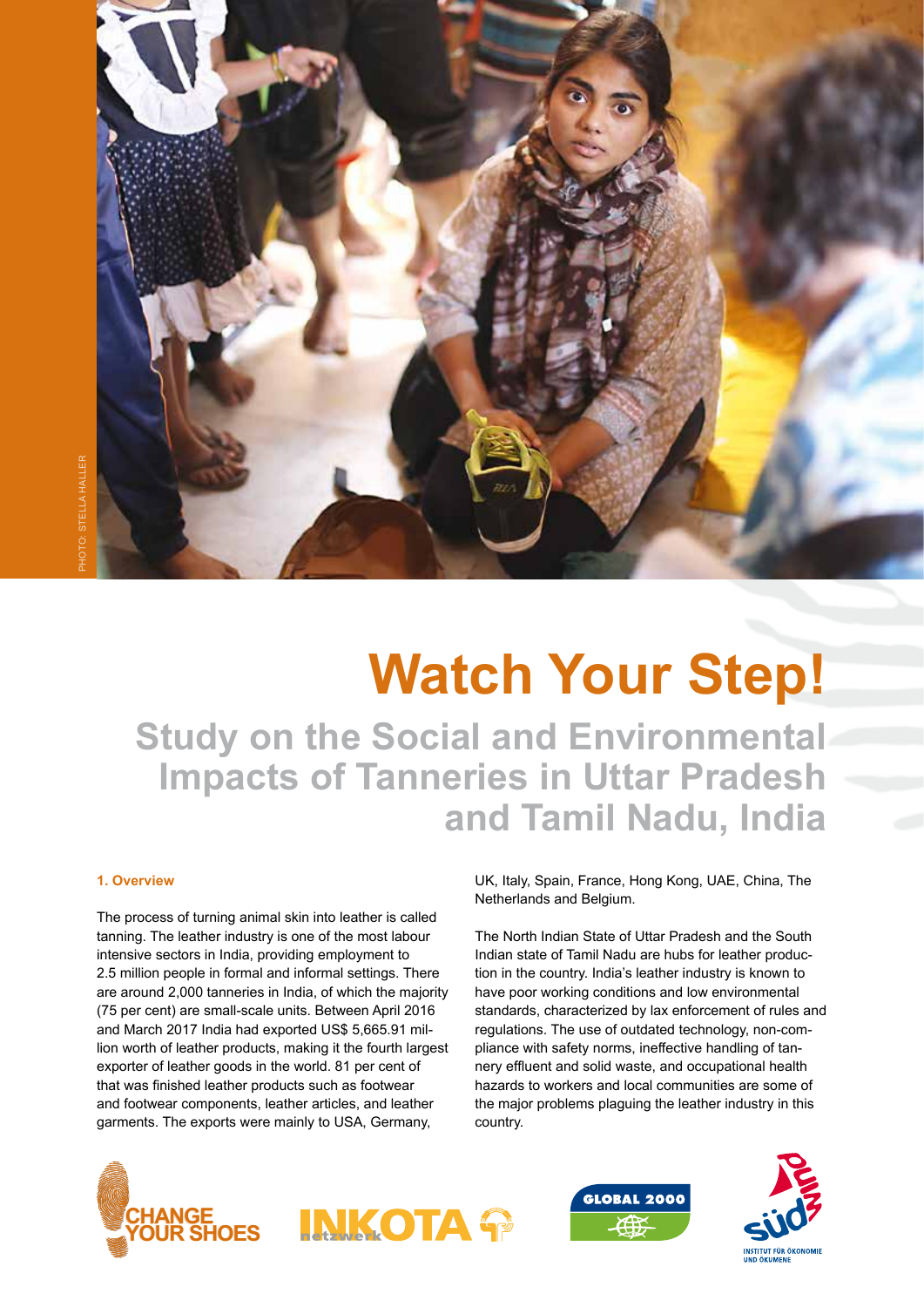

# **Watch Your Step!**

**Study on the Social and Environmental Impacts of Tanneries in Uttar Pradesh and Tamil Nadu, India**

# **1. Overview**

The process of turning animal skin into leather is called tanning. The leather industry is one of the most labour intensive sectors in India, providing employment to 2.5 million people in formal and informal settings. There are around 2,000 tanneries in India, of which the majority (75 per cent) are small-scale units. Between April 2016 and March 2017 India had exported US\$ 5,665.91 million worth of leather products, making it the fourth largest exporter of leather goods in the world. 81 per cent of that was finished leather products such as footwear and footwear components, leather articles, and leather garments. The exports were mainly to USA, Germany,

UK, Italy, Spain, France, Hong Kong, UAE, China, The Netherlands and Belgium.

The North Indian State of Uttar Pradesh and the South Indian state of Tamil Nadu are hubs for leather production in the country. India's leather industry is known to have poor working conditions and low environmental standards, characterized by lax enforcement of rules and regulations. The use of outdated technology, non-compliance with safety norms, ineffective handling of tannery effluent and solid waste, and occupational health hazards to workers and local communities are some of the major problems plaguing the leather industry in this country.





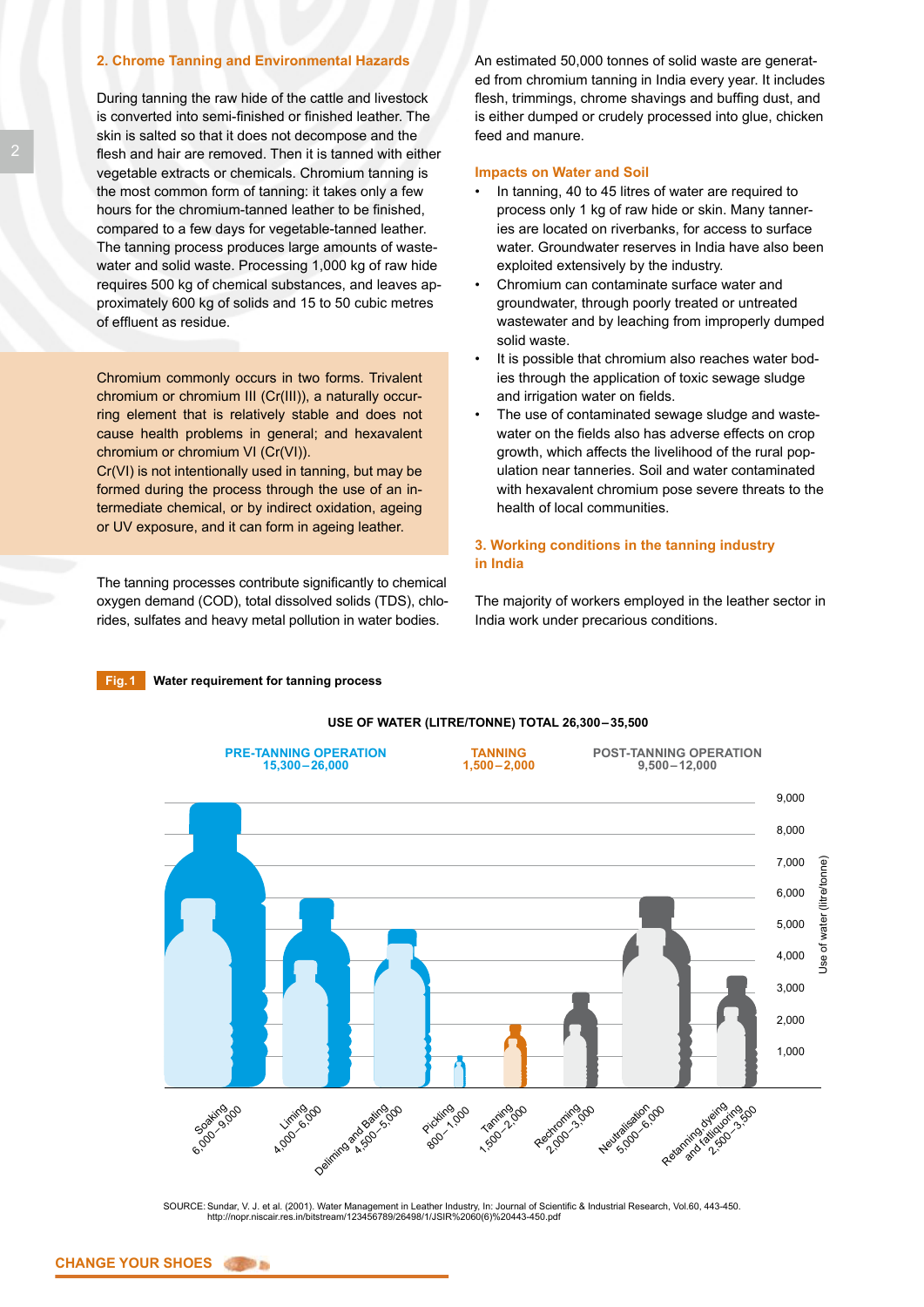# **2. Chrome Tanning and Environmental Hazards**

During tanning the raw hide of the cattle and livestock is converted into semi-finished or finished leather. The skin is salted so that it does not decompose and the flesh and hair are removed. Then it is tanned with either vegetable extracts or chemicals. Chromium tanning is the most common form of tanning: it takes only a few hours for the chromium-tanned leather to be finished, compared to a few days for vegetable-tanned leather. The tanning process produces large amounts of wastewater and solid waste. Processing 1,000 kg of raw hide requires 500 kg of chemical substances, and leaves approximately 600 kg of solids and 15 to 50 cubic metres of effluent as residue.

Chromium commonly occurs in two forms. Trivalent chromium or chromium III (Cr(III)), a naturally occurring element that is relatively stable and does not cause health problems in general; and hexavalent chromium or chromium VI (Cr(VI)).

Cr(VI) is not intentionally used in tanning, but may be formed during the process through the use of an intermediate chemical, or by indirect oxidation, ageing or UV exposure, and it can form in ageing leather.

The tanning processes contribute significantly to chemical oxygen demand (COD), total dissolved solids (TDS), chlorides, sulfates and heavy metal pollution in water bodies.

An estimated 50,000 tonnes of solid waste are generated from chromium tanning in India every year. It includes flesh, trimmings, chrome shavings and buffing dust, and is either dumped or crudely processed into glue, chicken feed and manure.

## **Impacts on Water and Soil**

- In tanning, 40 to 45 litres of water are required to process only 1 kg of raw hide or skin. Many tanneries are located on riverbanks, for access to surface water. Groundwater reserves in India have also been exploited extensively by the industry.
- Chromium can contaminate surface water and groundwater, through poorly treated or untreated wastewater and by leaching from improperly dumped solid waste.
- It is possible that chromium also reaches water bodies through the application of toxic sewage sludge and irrigation water on fields.
- The use of contaminated sewage sludge and wastewater on the fields also has adverse effects on crop growth, which affects the livelihood of the rural population near tanneries. Soil and water contaminated with hexavalent chromium pose severe threats to the health of local communities.

# **3. Working conditions in the tanning industry in India**

The majority of workers employed in the leather sector in India work under precarious conditions.

# **Fig.1 Water requirement for tanning process**



### SOURCE: Sundar, V. J. et al. (2001). Water Management in Leather Industry, In: Journal of Scientific & Industrial Research, Vol.60, 443-450. http://nopr.niscair.res.in/bitstream/123456789/26498/1/JSIR%2060(6)%20443-450.pdf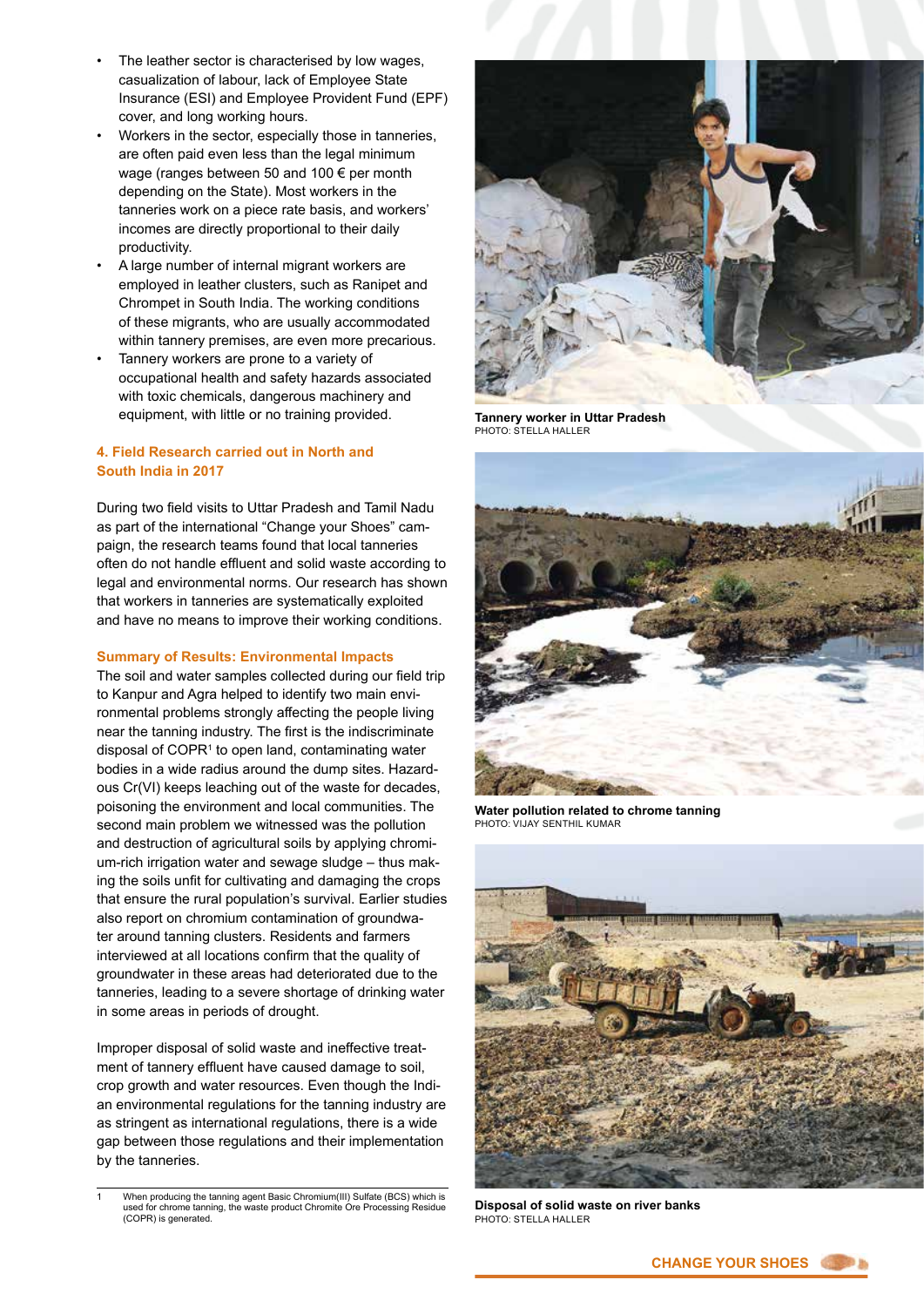- The leather sector is characterised by low wages, casualization of labour, lack of Employee State Insurance (ESI) and Employee Provident Fund (EPF) cover, and long working hours.
- Workers in the sector, especially those in tanneries, are often paid even less than the legal minimum wage (ranges between 50 and 100 € per month depending on the State). Most workers in the tanneries work on a piece rate basis, and workers' incomes are directly proportional to their daily productivity.
- A large number of internal migrant workers are employed in leather clusters, such as Ranipet and Chrompet in South India. The working conditions of these migrants, who are usually accommodated within tannery premises, are even more precarious.
- Tannery workers are prone to a variety of occupational health and safety hazards associated with toxic chemicals, dangerous machinery and equipment, with little or no training provided.

# **4. Field Research carried out in North and South India in 2017**

During two field visits to Uttar Pradesh and Tamil Nadu as part of the international "Change your Shoes" campaign, the research teams found that local tanneries often do not handle effluent and solid waste according to legal and environmental norms. Our research has shown that workers in tanneries are systematically exploited and have no means to improve their working conditions.

# **Summary of Results: Environmental Impacts**

The soil and water samples collected during our field trip to Kanpur and Agra helped to identify two main environmental problems strongly affecting the people living near the tanning industry. The first is the indiscriminate disposal of COPR<sup>1</sup> to open land, contaminating water bodies in a wide radius around the dump sites. Hazardous Cr(VI) keeps leaching out of the waste for decades, poisoning the environment and local communities. The second main problem we witnessed was the pollution and destruction of agricultural soils by applying chromium-rich irrigation water and sewage sludge – thus making the soils unfit for cultivating and damaging the crops that ensure the rural population's survival. Earlier studies also report on chromium contamination of groundwater around tanning clusters. Residents and farmers interviewed at all locations confirm that the quality of groundwater in these areas had deteriorated due to the tanneries, leading to a severe shortage of drinking water in some areas in periods of drought.

Improper disposal of solid waste and ineffective treatment of tannery effluent have caused damage to soil, crop growth and water resources. Even though the Indian environmental regulations for the tanning industry are as stringent as international regulations, there is a wide gap between those regulations and their implementation by the tanneries.

When producing the tanning agent Basic Chromium(III) Sulfate (BCS) which is used for chrome tanning, the waste product Chromite Ore Processing Residue (COPR) is generated.



**Tannery worker in Uttar Pradesh**  PHOTO: STELLA HALLER



**Water pollution related to chrome tanning**  PHOTO: VIJAY SENTHIL KUMAR



**Disposal of solid waste on river banks**  PHOTO: STELLA HALLER